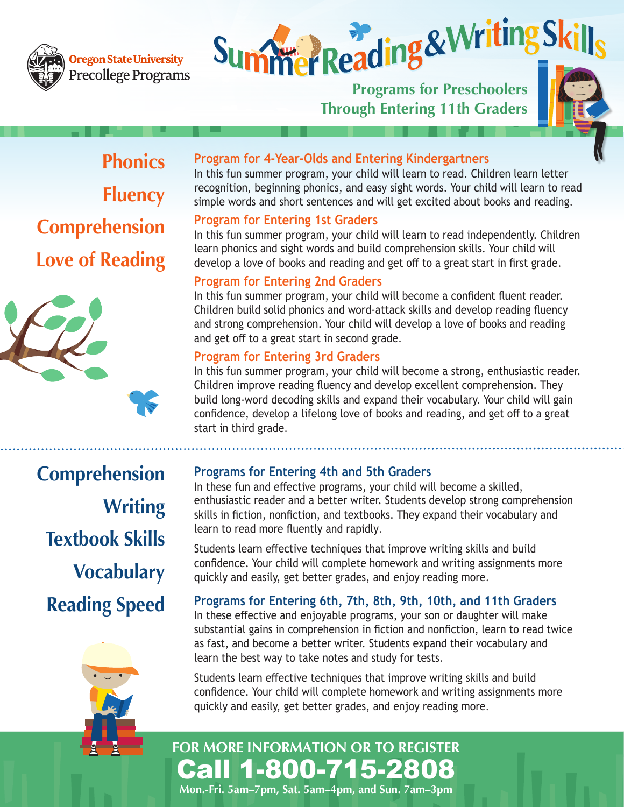

#### **Dregon State University** Precollege Programs

# **Summer Reading & Writing S**

**Through Entering 11th Graders**



**Phonics Fluency Comprehension Love of Reading**







**Comprehension Writing Textbook Skills Vocabulary Reading Speed**



#### **Program for 4-Year-Olds and Entering Kindergartners**

In this fun summer program, your child will learn to read. Children learn letter recognition, beginning phonics, and easy sight words. Your child will learn to read simple words and short sentences and will get excited about books and reading.

#### **Program for Entering 1st Graders**

In this fun summer program, your child will learn to read independently. Children learn phonics and sight words and build comprehension skills. Your child will develop a love of books and reading and get off to a great start in first grade.

#### **Program for Entering 2nd Graders**

In this fun summer program, your child will become a confident fluent reader. Children build solid phonics and word-attack skills and develop reading fluency and strong comprehension. Your child will develop a love of books and reading and get off to a great start in second grade.

#### **Program for Entering 3rd Graders**

In this fun summer program, your child will become a strong, enthusiastic reader. Children improve reading fluency and develop excellent comprehension. They build long-word decoding skills and expand their vocabulary. Your child will gain confidence, develop a lifelong love of books and reading, and get off to a great start in third grade.

#### **Programs for Entering 4th and 5th Graders**

In these fun and effective programs, your child will become a skilled, enthusiastic reader and a better writer. Students develop strong comprehension skills in fiction, nonfiction, and textbooks. They expand their vocabulary and learn to read more fluently and rapidly.

Students learn effective techniques that improve writing skills and build confidence. Your child will complete homework and writing assignments more quickly and easily, get better grades, and enjoy reading more.

#### **Programs for Entering 6th, 7th, 8th, 9th, 10th, and 11th Graders**

In these effective and enjoyable programs, your son or daughter will make substantial gains in comprehension in fiction and nonfiction, learn to read twice as fast, and become a better writer. Students expand their vocabulary and learn the best way to take notes and study for tests.

Students learn effective techniques that improve writing skills and build confidence. Your child will complete homework and writing assignments more quickly and easily, get better grades, and enjoy reading more.

# Call 1-800-715-2808 **FOR MORE INFORMATION OR TO REGISTER**

**Mon.-Fri. 5am–7pm, Sat. 5am–4pm, and Sun. 7am–3pm**